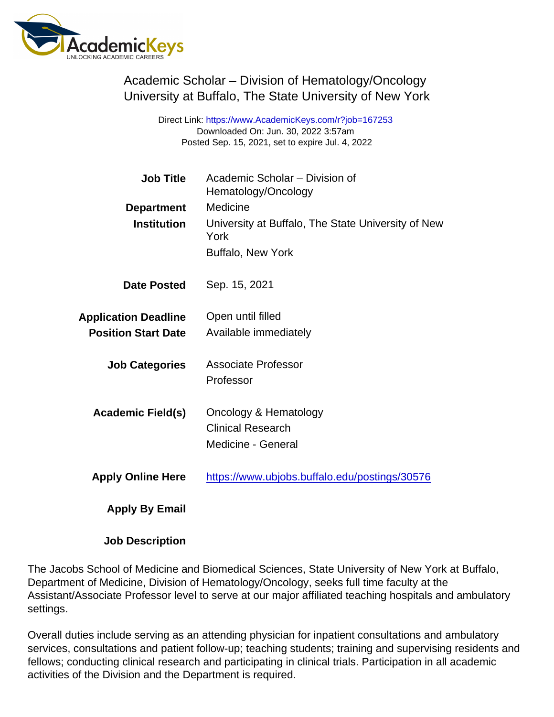Academic Scholar – Division of Hematology/Oncology University at Buffalo, The State University of New York

> Direct Link: <https://www.AcademicKeys.com/r?job=167253> Downloaded On: Jun. 30, 2022 3:57am Posted Sep. 15, 2021, set to expire Jul. 4, 2022

| <b>Job Title</b><br>Department<br>Institution             | Academic Scholar - Division of<br>Hematology/Oncology<br>Medicine<br>University at Buffalo, The State University of New<br>York |
|-----------------------------------------------------------|---------------------------------------------------------------------------------------------------------------------------------|
|                                                           | <b>Buffalo, New York</b>                                                                                                        |
| Date Posted                                               | Sep. 15, 2021                                                                                                                   |
| <b>Application Deadline</b><br><b>Position Start Date</b> | Open until filled<br>Available immediately                                                                                      |
| <b>Job Categories</b>                                     | <b>Associate Professor</b><br>Professor                                                                                         |
| Academic Field(s)                                         | Oncology & Hematology<br><b>Clinical Research</b><br>Medicine - General                                                         |
| <b>Apply Online Here</b>                                  | https://www.ubjobs.buffalo.edu/postings/30576                                                                                   |
| Apply By Email                                            |                                                                                                                                 |

Job Description

The Jacobs School of Medicine and Biomedical Sciences, State University of New York at Buffalo, Department of Medicine, Division of Hematology/Oncology, seeks full time faculty at the Assistant/Associate Professor level to serve at our major affiliated teaching hospitals and ambulatory settings.

Overall duties include serving as an attending physician for inpatient consultations and ambulatory services, consultations and patient follow-up; teaching students; training and supervising residents and fellows; conducting clinical research and participating in clinical trials. Participation in all academic activities of the Division and the Department is required.